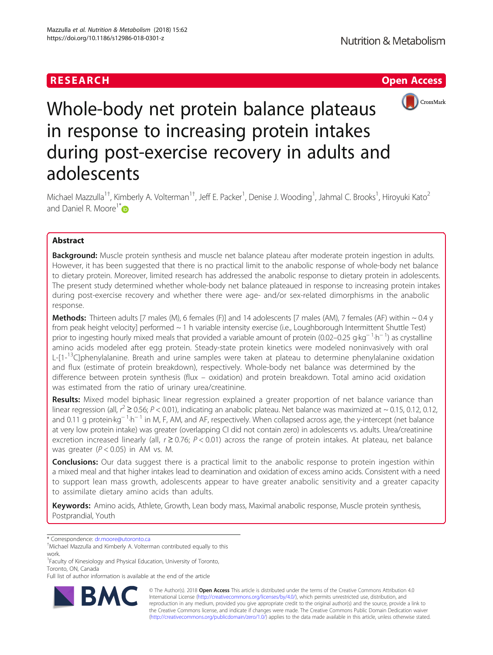# RESEARCH **RESEARCH CHANNEL EXECUTE ACCESS**



# Whole-body net protein balance plateaus in response to increasing protein intakes during post-exercise recovery in adults and adolescents

Michael Mazzulla<sup>1†</sup>, Kimberly A. Volterman<sup>1†</sup>, Jeff E. Packer<sup>1</sup>, Denise J. Wooding<sup>1</sup>, Jahmal C. Brooks<sup>1</sup>, Hiroyuki Kato<sup>2</sup> and Daniel R. Moore<sup>1\*</sup>

# Abstract

**Background:** Muscle protein synthesis and muscle net balance plateau after moderate protein ingestion in adults. However, it has been suggested that there is no practical limit to the anabolic response of whole-body net balance to dietary protein. Moreover, limited research has addressed the anabolic response to dietary protein in adolescents. The present study determined whether whole-body net balance plateaued in response to increasing protein intakes during post-exercise recovery and whether there were age- and/or sex-related dimorphisms in the anabolic response.

**Methods:** Thirteen adults [7 males (M), 6 females (F)] and 14 adolescents [7 males (AM), 7 females (AF) within  $\sim$  0.4 y from peak height velocity] performed ~ 1 h variable intensity exercise (i.e., Loughborough Intermittent Shuttle Test) prior to ingesting hourly mixed meals that provided a variable amount of protein (0.02–0.25 g·kg<sup>-1</sup>·h<sup>-1</sup>) as crystalline amino acids modeled after egg protein. Steady-state protein kinetics were modeled noninvasively with oral L-[1-<sup>13</sup>C]phenylalanine. Breath and urine samples were taken at plateau to determine phenylalanine oxidation and flux (estimate of protein breakdown), respectively. Whole-body net balance was determined by the difference between protein synthesis (flux – oxidation) and protein breakdown. Total amino acid oxidation was estimated from the ratio of urinary urea/creatinine.

Results: Mixed model biphasic linear regression explained a greater proportion of net balance variance than linear regression (all,  $r^2 \ge 0.56$ ;  $P < 0.01$ ), indicating an anabolic plateau. Net balance was maximized at ~0.15, 0.12, 0.12, and 0.11 g protein·kg<sup>− 1</sup>·h<sup>−1</sup> in M, F, AM, and AF, respectively. When collapsed across age, the y-intercept (net balance at very low protein intake) was greater (overlapping CI did not contain zero) in adolescents vs. adults. Urea/creatinine excretion increased linearly (all,  $r \ge 0.76$ ;  $P < 0.01$ ) across the range of protein intakes. At plateau, net balance was greater ( $P < 0.05$ ) in AM vs. M.

**Conclusions:** Our data suggest there is a practical limit to the anabolic response to protein ingestion within a mixed meal and that higher intakes lead to deamination and oxidation of excess amino acids. Consistent with a need to support lean mass growth, adolescents appear to have greater anabolic sensitivity and a greater capacity to assimilate dietary amino acids than adults.

Keywords: Amino acids, Athlete, Growth, Lean body mass, Maximal anabolic response, Muscle protein synthesis, Postprandial, Youth

\* Correspondence: [dr.moore@utoronto.ca](mailto:dr.moore@utoronto.ca) †

Full list of author information is available at the end of the article



© The Author(s). 2018 Open Access This article is distributed under the terms of the Creative Commons Attribution 4.0 International License [\(http://creativecommons.org/licenses/by/4.0/](http://creativecommons.org/licenses/by/4.0/)), which permits unrestricted use, distribution, and reproduction in any medium, provided you give appropriate credit to the original author(s) and the source, provide a link to the Creative Commons license, and indicate if changes were made. The Creative Commons Public Domain Dedication waiver [\(http://creativecommons.org/publicdomain/zero/1.0/](http://creativecommons.org/publicdomain/zero/1.0/)) applies to the data made available in this article, unless otherwise stated.

Michael Mazzulla and Kimberly A. Volterman contributed equally to this work.

<sup>&</sup>lt;sup>1</sup> Faculty of Kinesiology and Physical Education, University of Toronto, Toronto, ON, Canada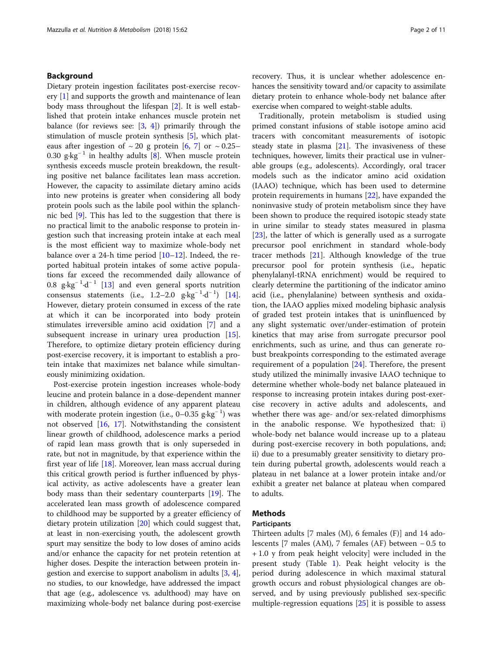# Background

Dietary protein ingestion facilitates post-exercise recovery [\[1](#page-8-0)] and supports the growth and maintenance of lean body mass throughout the lifespan [[2](#page-8-0)]. It is well established that protein intake enhances muscle protein net balance (for reviews see:  $[3, 4]$  $[3, 4]$  $[3, 4]$  $[3, 4]$ ) primarily through the stimulation of muscle protein synthesis [\[5\]](#page-9-0), which plateaus after ingestion of  $\sim 20$  g protein [\[6,](#page-9-0) [7](#page-9-0)] or  $\sim 0.25$ -0.30 g·kg<sup>-1</sup> in healthy adults [[8\]](#page-9-0). When muscle protein synthesis exceeds muscle protein breakdown, the resulting positive net balance facilitates lean mass accretion. However, the capacity to assimilate dietary amino acids into new proteins is greater when considering all body protein pools such as the labile pool within the splanchnic bed [[9](#page-9-0)]. This has led to the suggestion that there is no practical limit to the anabolic response to protein ingestion such that increasing protein intake at each meal is the most efficient way to maximize whole-body net balance over a 24-h time period  $[10-12]$  $[10-12]$  $[10-12]$ . Indeed, the reported habitual protein intakes of some active populations far exceed the recommended daily allowance of 0.8  $g \cdot kg^{-1} \cdot d^{-1}$  [\[13](#page-9-0)] and even general sports nutrition consensus statements (i.e., 1.2–2.0  $g \cdot kg^{-1} \cdot d^{-1}$ ) [\[14](#page-9-0)]. However, dietary protein consumed in excess of the rate at which it can be incorporated into body protein stimulates irreversible amino acid oxidation [[7\]](#page-9-0) and a subsequent increase in urinary urea production [\[15](#page-9-0)]. Therefore, to optimize dietary protein efficiency during post-exercise recovery, it is important to establish a protein intake that maximizes net balance while simultaneously minimizing oxidation.

Post-exercise protein ingestion increases whole-body leucine and protein balance in a dose-dependent manner in children, although evidence of any apparent plateau with moderate protein ingestion (i.e., 0-0.35 g⋅kg<sup>-1</sup>) was not observed [\[16](#page-9-0), [17](#page-9-0)]. Notwithstanding the consistent linear growth of childhood, adolescence marks a period of rapid lean mass growth that is only superseded in rate, but not in magnitude, by that experience within the first year of life [[18](#page-9-0)]. Moreover, lean mass accrual during this critical growth period is further influenced by physical activity, as active adolescents have a greater lean body mass than their sedentary counterparts [[19\]](#page-9-0). The accelerated lean mass growth of adolescence compared to childhood may be supported by a greater efficiency of dietary protein utilization [[20\]](#page-9-0) which could suggest that, at least in non-exercising youth, the adolescent growth spurt may sensitize the body to low doses of amino acids and/or enhance the capacity for net protein retention at higher doses. Despite the interaction between protein ingestion and exercise to support anabolism in adults [[3](#page-8-0), [4](#page-8-0)], no studies, to our knowledge, have addressed the impact that age (e.g., adolescence vs. adulthood) may have on maximizing whole-body net balance during post-exercise recovery. Thus, it is unclear whether adolescence enhances the sensitivity toward and/or capacity to assimilate dietary protein to enhance whole-body net balance after exercise when compared to weight-stable adults.

Traditionally, protein metabolism is studied using primed constant infusions of stable isotope amino acid tracers with concomitant measurements of isotopic steady state in plasma  $[21]$  $[21]$ . The invasiveness of these techniques, however, limits their practical use in vulnerable groups (e.g., adolescents). Accordingly, oral tracer models such as the indicator amino acid oxidation (IAAO) technique, which has been used to determine protein requirements in humans [\[22\]](#page-9-0), have expanded the noninvasive study of protein metabolism since they have been shown to produce the required isotopic steady state in urine similar to steady states measured in plasma [[23\]](#page-9-0), the latter of which is generally used as a surrogate precursor pool enrichment in standard whole-body tracer methods [\[21](#page-9-0)]. Although knowledge of the true precursor pool for protein synthesis (i.e., hepatic phenylalanyl-tRNA enrichment) would be required to clearly determine the partitioning of the indicator amino acid (i.e., phenylalanine) between synthesis and oxidation, the IAAO applies mixed modeling biphasic analysis of graded test protein intakes that is uninfluenced by any slight systematic over/under-estimation of protein kinetics that may arise from surrogate precursor pool enrichments, such as urine, and thus can generate robust breakpoints corresponding to the estimated average requirement of a population [\[24\]](#page-9-0). Therefore, the present study utilized the minimally invasive IAAO technique to determine whether whole-body net balance plateaued in response to increasing protein intakes during post-exercise recovery in active adults and adolescents, and whether there was age- and/or sex-related dimorphisms in the anabolic response. We hypothesized that: i) whole-body net balance would increase up to a plateau during post-exercise recovery in both populations, and; ii) due to a presumably greater sensitivity to dietary protein during pubertal growth, adolescents would reach a plateau in net balance at a lower protein intake and/or exhibit a greater net balance at plateau when compared to adults.

# Methods

# Participants

Thirteen adults [7 males (M), 6 females (F)] and 14 adolescents [7 males (AM), 7 females (AF) between − 0.5 to + 1.0 y from peak height velocity] were included in the present study (Table [1](#page-2-0)). Peak height velocity is the period during adolescence in which maximal statural growth occurs and robust physiological changes are observed, and by using previously published sex-specific multiple-regression equations [[25\]](#page-9-0) it is possible to assess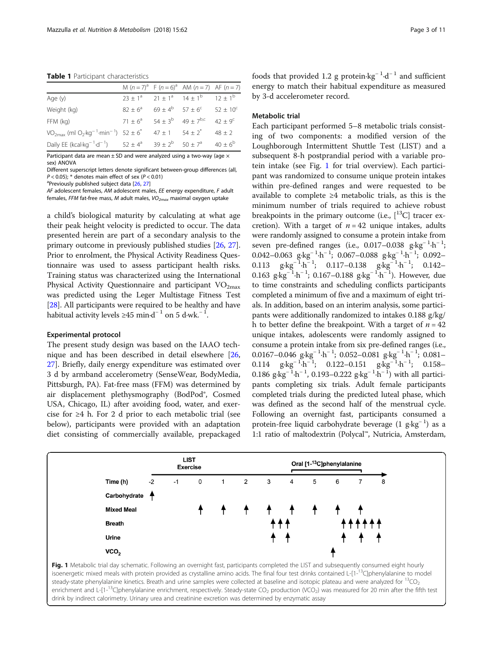<span id="page-2-0"></span>Table 1 Participant characteristics

|                                                                                                                        |                                            | M $(n=7)^a$ F $(n=6)^a$ AM $(n=7)$ AF $(n=7)$             |                    |
|------------------------------------------------------------------------------------------------------------------------|--------------------------------------------|-----------------------------------------------------------|--------------------|
| Age (y)                                                                                                                |                                            | $23 \pm 1^a$ $21 \pm 1^a$ $14 \pm 1^b$ $12 + 1^b$         |                    |
| Weight (kg)                                                                                                            | $82 + 6^a$                                 | $69 \pm 4^{\circ}$ $57 \pm 6^{\circ}$ $52 \pm 10^{\circ}$ |                    |
| FFM (kg)                                                                                                               | $71 \pm 6^a$ 54 $\pm 3^b$ 49 $\pm 7^{b,c}$ |                                                           | $42 \pm 9^{\circ}$ |
| VO <sub>2max</sub> (ml O <sub>2</sub> ·kg <sup>-1</sup> ·min <sup>-1</sup> ) $52 \pm 6^{*}$ 47 ± 1 54 ± 2 <sup>*</sup> |                                            |                                                           | $48 + 2$           |
| Daily EE (kcal·kg <sup>-1</sup> ·d <sup>-1</sup> ) 52 ± 4 <sup>a</sup> 39 ± 2 <sup>b</sup> 50 ± 7 <sup>a</sup>         |                                            |                                                           | $40 + 6^b$         |

Participant data are mean  $\pm$  SD and were analyzed using a two-way (age  $\times$ sex) ANOVA

Different superscript letters denote significant between-group differences (all,  $P < 0.05$ ); \* denotes main effect of sex ( $P < 0.01$ )

<sup>a</sup> Previously published subject data [\[26,](#page-9-0) [27](#page-9-0)]

AF adolescent females, AM adolescent males, EE energy expenditure, F adult females, FFM fat-free mass, M adult males,  $VO_{2max}$  maximal oxygen uptake

a child's biological maturity by calculating at what age their peak height velocity is predicted to occur. The data presented herein are part of a secondary analysis to the primary outcome in previously published studies [[26](#page-9-0), [27](#page-9-0)]. Prior to enrolment, the Physical Activity Readiness Questionnaire was used to assess participant health risks. Training status was characterized using the International Physical Activity Questionnaire and participant  $VO<sub>2max</sub>$ was predicted using the Leger Multistage Fitness Test [[28](#page-9-0)]. All participants were required to be healthy and have habitual activity levels ≥45 min·d $^{-1}$  on 5 d·wk. $^{-1}$ .

# Experimental protocol

The present study design was based on the IAAO technique and has been described in detail elsewhere [[26](#page-9-0), [27\]](#page-9-0). Briefly, daily energy expenditure was estimated over 3 d by armband accelerometry (SenseWear, BodyMedia, Pittsburgh, PA). Fat-free mass (FFM) was determined by air displacement plethysmography (BodPod®, Cosmed USA, Chicago, IL) after avoiding food, water, and exercise for ≥4 h. For 2 d prior to each metabolic trial (see below), participants were provided with an adaptation diet consisting of commercially available, prepackaged

foods that provided 1.2 g protein⋅kg<sup>-1</sup>⋅d<sup>-1</sup> and sufficient energy to match their habitual expenditure as measured by 3-d accelerometer record.

# Metabolic trial

Each participant performed 5–8 metabolic trials consisting of two components: a modified version of the Loughborough Intermittent Shuttle Test (LIST) and a subsequent 8-h postprandial period with a variable protein intake (see Fig. 1 for trial overview). Each participant was randomized to consume unique protein intakes within pre-defined ranges and were requested to be available to complete ≥4 metabolic trials, as this is the minimum number of trials required to achieve robust breakpoints in the primary outcome (i.e.,  $[^{13}C]$  tracer excretion). With a target of  $n = 42$  unique intakes, adults were randomly assigned to consume a protein intake from seven pre-defined ranges (i.e.,  $0.017-0.038$  g·kg<sup>-1</sup>·h<sup>-1</sup>; 0.042–0.063  $g \cdot kg^{-1} \cdot h^{-1}$ ; 0.067–0.088  $g \cdot kg^{-1} \cdot h^{-1}$ ; 0.092– 0.113  $g \cdot kg^{-1} \cdot h^{-1}$ ; 0.117-0.138  $g \cdot kg^{-1} \cdot h^{-1}$ ; 0.142-0.163 g·kg<sup>-1</sup>·h<sup>-1</sup>; 0.167-0.188 g·kg<sup>-1</sup>·h<sup>-1</sup>). However, due to time constraints and scheduling conflicts participants completed a minimum of five and a maximum of eight trials. In addition, based on an interim analysis, some participants were additionally randomized to intakes 0.188 g/kg/ h to better define the breakpoint. With a target of  $n = 42$ unique intakes, adolescents were randomly assigned to consume a protein intake from six pre-defined ranges (i.e., 0.0167-0.046 g·kg<sup>-1</sup>·h<sup>-1</sup>; 0.052-0.081 g·kg<sup>-1</sup>·h<sup>-1</sup>; 0.081-0.114  $g \cdot kg^{-1} \cdot h^{-1}$ ; 0.122-0.151  $g \cdot kg^{-1} \cdot h^{-1}$ ; 0.158-0.186  $g \cdot kg^{-1} \cdot h^{-1}$ , 0.193–0.222  $g \cdot kg^{-1} \cdot h^{-1}$ ) with all participants completing six trials. Adult female participants completed trials during the predicted luteal phase, which was defined as the second half of the menstrual cycle. Following an overnight fast, participants consumed a protein-free liquid carbohydrate beverage (1 g·kg<sup>-1</sup>) as a 1:1 ratio of maltodextrin (Polycal™, Nutricia, Amsterdam,



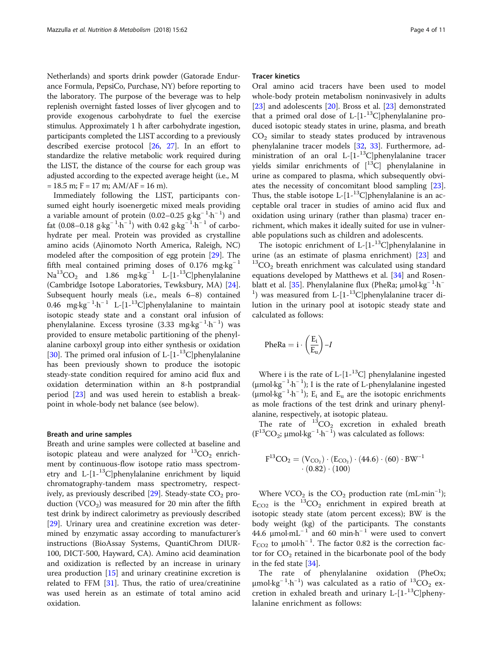Netherlands) and sports drink powder (Gatorade Endurance Formula, PepsiCo, Purchase, NY) before reporting to the laboratory. The purpose of the beverage was to help replenish overnight fasted losses of liver glycogen and to provide exogenous carbohydrate to fuel the exercise stimulus. Approximately 1 h after carbohydrate ingestion, participants completed the LIST according to a previously described exercise protocol [\[26,](#page-9-0) [27\]](#page-9-0). In an effort to standardize the relative metabolic work required during the LIST, the distance of the course for each group was adjusted according to the expected average height (i.e., M  $= 18.5$  m; F = 17 m; AM/AF = 16 m).

Immediately following the LIST, participants consumed eight hourly isoenergetic mixed meals providing a variable amount of protein (0.02–0.25 g⋅kg<sup>-1</sup>⋅h<sup>-1</sup>) and fat (0.08–0.18  $g \cdot kg^{-1} \cdot h^{-1}$ ) with 0.42  $g \cdot kg^{-1} \cdot h^{-1}$  of carbohydrate per meal. Protein was provided as crystalline amino acids (Ajinomoto North America, Raleigh, NC) modeled after the composition of egg protein [\[29](#page-9-0)]. The fifth meal contained priming doses of 0.176 mg·kg<sup>-1</sup> Na<sup>13</sup>CO<sub>2</sub> and 1.86 mg⋅kg<sup>-1</sup> L-[1-<sup>13</sup>C]phenylalanine (Cambridge Isotope Laboratories, Tewksbury, MA) [\[24](#page-9-0)]. Subsequent hourly meals (i.e., meals 6–8) contained 0.46 mg·kg<sup>-1</sup>·h<sup>-1</sup> L-[1-<sup>13</sup>C]phenylalanine to maintain isotopic steady state and a constant oral infusion of phenylalanine. Excess tyrosine (3.33 mg·kg<sup>-1</sup>·h<sup>-1</sup>) was provided to ensure metabolic partitioning of the phenylalanine carboxyl group into either synthesis or oxidation [[30\]](#page-9-0). The primed oral infusion of L- $[1-13C]$ phenylalanine has been previously shown to produce the isotopic steady-state condition required for amino acid flux and oxidation determination within an 8-h postprandial period [[23\]](#page-9-0) and was used herein to establish a breakpoint in whole-body net balance (see below).

#### Breath and urine samples

Breath and urine samples were collected at baseline and isotopic plateau and were analyzed for  ${}^{13}CO_2$  enrichment by continuous-flow isotope ratio mass spectrometry and L- $[1$ -<sup>13</sup>C]phenylalanine enrichment by liquid chromatography-tandem mass spectrometry, respectively, as previously described  $[29]$  $[29]$ . Steady-state  $CO<sub>2</sub>$  production (VCO<sub>2</sub>) was measured for 20 min after the fifth test drink by indirect calorimetry as previously described [[29\]](#page-9-0). Urinary urea and creatinine excretion was determined by enzymatic assay according to manufacturer's instructions (BioAssay Systems, QuantiChrom DIUR-100, DICT-500, Hayward, CA). Amino acid deamination and oxidization is reflected by an increase in urinary urea production [\[15\]](#page-9-0) and urinary creatinine excretion is related to FFM [[31](#page-9-0)]. Thus, the ratio of urea/creatinine was used herein as an estimate of total amino acid oxidation.

# Tracer kinetics

Oral amino acid tracers have been used to model whole-body protein metabolism noninvasively in adults [[23\]](#page-9-0) and adolescents [[20\]](#page-9-0). Bross et al. [\[23\]](#page-9-0) demonstrated that a primed oral dose of  $L-[1-^{13}C]$ phenylalanine produced isotopic steady states in urine, plasma, and breath  $CO<sub>2</sub>$  similar to steady states produced by intravenous phenylalanine tracer models [[32,](#page-9-0) [33\]](#page-9-0). Furthermore, administration of an oral L- $[1^{-13}C]$ phenylalanine tracer yields similar enrichments of  $[^{13}C]$  phenylalanine in urine as compared to plasma, which subsequently obviates the necessity of concomitant blood sampling [\[23](#page-9-0)]. Thus, the stable isotope  $L-[1-1]$ <sup>13</sup>C]phenylalanine is an acceptable oral tracer in studies of amino acid flux and oxidation using urinary (rather than plasma) tracer enrichment, which makes it ideally suited for use in vulnerable populations such as children and adolescents.

The isotopic enrichment of  $L-[1-13C]$ phenylalanine in urine (as an estimate of plasma enrichment) [[23](#page-9-0)] and  ${}^{13}CO_2$  breath enrichment was calculated using standard equations developed by Matthews et al. [\[34](#page-9-0)] and Rosen-blatt et al. [\[35](#page-9-0)]. Phenylalanine flux (PheRa; μmol·kg<sup>-1</sup>·h<sup>-</sup>  $<sup>1</sup>$ ) was measured from L-[1- $<sup>13</sup>C$ ]phenylalanine tracer di-</sup></sup> lution in the urinary pool at isotopic steady state and calculated as follows:

$$
PheRa = i \cdot \left(\frac{E_i}{E_u}\right) - I
$$

Where i is the rate of L- $[1^{-13}C]$  phenylalanine ingested (μmol·kg<sup>−</sup> <sup>1</sup> ·h<sup>−</sup> <sup>1</sup> ); I is the rate of L-phenylalanine ingested ( $\mu$ mol·kg<sup>-1</sup>·h<sup>-1</sup>); E<sub>i</sub> and E<sub>u</sub> are the isotopic enrichments as mole fractions of the test drink and urinary phenylalanine, respectively, at isotopic plateau.

The rate of  $^{13}CO_2$  excretion in exhaled breath  $(F^{13}CO_2; \mu$ mol·kg<sup>-1</sup>·h<sup>-1</sup>) was calculated as follows:

$$
F^{13}CO_2 = (V_{CO_2}) \cdot (E_{CO_2}) \cdot (44.6) \cdot (60) \cdot BW^{-1} \\ \cdot (0.82) \cdot (100)
$$

Where  $VCO_2$  is the  $CO_2$  production rate (mL·min<sup>-1</sup>);  $E_{CO2}$  is the <sup>13</sup>CO<sub>2</sub> enrichment in expired breath at isotopic steady state (atom percent excess); BW is the body weight (kg) of the participants. The constants 44.6  $\mu$ mol·mL<sup>-1</sup> and 60 min·h<sup>-1</sup> were used to convert  $F<sub>CO2</sub>$  to μmol·h<sup>-1</sup>. The factor 0.82 is the correction factor for  $CO<sub>2</sub>$  retained in the bicarbonate pool of the body in the fed state [[34\]](#page-9-0).

The rate of phenylalanine oxidation (PheOx; μmol·kg<sup>-1</sup>·h<sup>-1</sup>) was calculated as a ratio of <sup>13</sup>CO<sub>2</sub> excretion in exhaled breath and urinary  $L-[1-13C]$ phenylalanine enrichment as follows: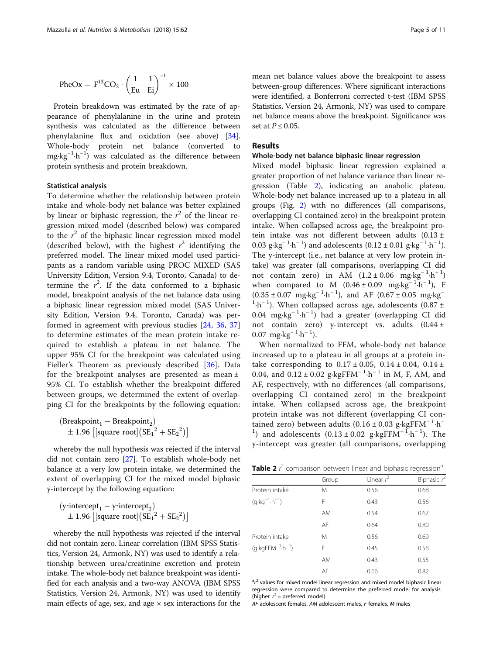$$
PheOx = F^{13}CO_2 \cdot \left(\frac{1}{Eu} {-}\frac{1}{Ei}\right)^{-1} \times 100
$$

Protein breakdown was estimated by the rate of appearance of phenylalanine in the urine and protein synthesis was calculated as the difference between phenylalanine flux and oxidation (see above) [\[34](#page-9-0)]. Whole-body protein net balance (converted to mg·kg<sup>-1</sup>·h<sup>-1</sup>) was calculated as the difference between protein synthesis and protein breakdown.

# Statistical analysis

To determine whether the relationship between protein intake and whole-body net balance was better explained by linear or biphasic regression, the  $r^2$  of the linear regression mixed model (described below) was compared to the  $r^2$  of the biphasic linear regression mixed model (described below), with the highest  $r^2$  identifying the preferred model. The linear mixed model used participants as a random variable using PROC MIXED (SAS University Edition, Version 9.4, Toronto, Canada) to determine the  $r^2$ . If the data conformed to a biphasic model, breakpoint analysis of the net balance data using a biphasic linear regression mixed model (SAS University Edition, Version 9.4, Toronto, Canada) was performed in agreement with previous studies [\[24](#page-9-0), [36](#page-9-0), [37](#page-9-0)] to determine estimates of the mean protein intake required to establish a plateau in net balance. The upper 95% CI for the breakpoint was calculated using Fieller's Theorem as previously described [[36\]](#page-9-0). Data for the breakpoint analyses are presented as mean ± 95% CI. To establish whether the breakpoint differed between groups, we determined the extent of overlapping CI for the breakpoints by the following equation:

 $(Breakpoint_1 - Breakpoint_2)$  $\pm$  1.96 [[square root] $(SE_1^2 + SE_2^2)$ ]

whereby the null hypothesis was rejected if the interval did not contain zero [\[27](#page-9-0)]. To establish whole-body net balance at a very low protein intake, we determined the extent of overlapping CI for the mixed model biphasic y-intercept by the following equation:

 $(y\text{-intercept}_{1} - y\text{-intercept}_{2})$  $\pm$  1.96 [[square root] $(SE_1{}^2 + SE_2{}^2)$ ]

whereby the null hypothesis was rejected if the interval did not contain zero. Linear correlation (IBM SPSS Statistics, Version 24, Armonk, NY) was used to identify a relationship between urea/creatinine excretion and protein intake. The whole-body net balance breakpoint was identified for each analysis and a two-way ANOVA (IBM SPSS Statistics, Version 24, Armonk, NY) was used to identify main effects of age, sex, and age  $\times$  sex interactions for the mean net balance values above the breakpoint to assess between-group differences. Where significant interactions were identified, a Bonferroni corrected t-test (IBM SPSS Statistics, Version 24, Armonk, NY) was used to compare net balance means above the breakpoint. Significance was set at  $P \leq 0.05$ .

## Results

#### Whole-body net balance biphasic linear regression

Mixed model biphasic linear regression explained a greater proportion of net balance variance than linear regression (Table 2), indicating an anabolic plateau. Whole-body net balance increased up to a plateau in all groups (Fig. [2\)](#page-5-0) with no differences (all comparisons, overlapping CI contained zero) in the breakpoint protein intake. When collapsed across age, the breakpoint protein intake was not different between adults  $(0.13 \pm 1)$ 0.03 g⋅kg<sup>-1</sup>⋅h<sup>-1</sup>) and adolescents (0.12 ± 0.01 g⋅kg<sup>-1</sup>⋅h<sup>-1</sup>). The y-intercept (i.e., net balance at very low protein intake) was greater (all comparisons, overlapping CI did not contain zero) in AM  $(1.2 \pm 0.06 \text{ mg} \cdot \text{kg}^{-1} \cdot \text{h}^{-1})$ when compared to M  $(0.46 \pm 0.09 \text{ mg} \cdot \text{kg}^{-1} \cdot \text{h}^{-1})$ , F  $(0.35 \pm 0.07 \text{ mg} \cdot \text{kg}^{-1} \cdot \text{h}^{-1})$ , and AF  $(0.67 \pm 0.05 \text{ mg} \cdot \text{kg}^{-1})$ <sup>1</sup>·h<sup>-1</sup>). When collapsed across age, adolescents (0.87 ± 0.04 mg·kg<sup>−</sup> <sup>1</sup> ·h<sup>−</sup> <sup>1</sup> ) had a greater (overlapping CI did not contain zero) y-intercept vs. adults  $(0.44 \pm$ 0.07 mg·kg<sup>-1</sup>·h<sup>-1</sup>).

When normalized to FFM, whole-body net balance increased up to a plateau in all groups at a protein intake corresponding to  $0.17 \pm 0.05$ ,  $0.14 \pm 0.04$ ,  $0.14 \pm 0.04$ 0.04, and  $0.12 \pm 0.02$  g·kgFFM<sup>-1</sup>·h<sup>-1</sup> in M, F, AM, and AF, respectively, with no differences (all comparisons, overlapping CI contained zero) in the breakpoint intake. When collapsed across age, the breakpoint protein intake was not different (overlapping CI contained zero) between adults (0.16 ± 0.03 g·kgFFM<sup>−</sup> <sup>1</sup> ·h− <sup>1</sup>) and adolescents  $(0.13 \pm 0.02 \text{ g} \cdot \text{kgFFM}^{-1} \cdot \text{h}^{-1})$ . The y-intercept was greater (all comparisons, overlapping

**Table 2**  $r^2$  comparison between linear and biphasic regression<sup>a</sup>

|                                     | Group     | Linear $r^2$ | Biphasic $r^2$ |
|-------------------------------------|-----------|--------------|----------------|
| Protein intake                      | M         | 0.56         | 0.68           |
| $(g \cdot kg^{-1} \cdot h^{-1})$    | F         | 0.43         | 0.56           |
|                                     | AM        | 0.54         | 0.67           |
|                                     | AF        | 0.64         | 0.80           |
| Protein intake                      | M         | 0.56         | 0.69           |
| $(g \cdot kgFFM^{-1} \cdot h^{-1})$ | F         | 0.45         | 0.56           |
|                                     | <b>AM</b> | 0.43         | 0.55           |
|                                     | AF        | 0.66         | 0.82           |

<sup>a</sup>r<sup>2</sup> values for mixed model linear regression and mixed model biphasic linear regression were compared to determine the preferred model for analysis (higher  $r^2$  = preferred model)

AF adolescent females, AM adolescent males, F females, M males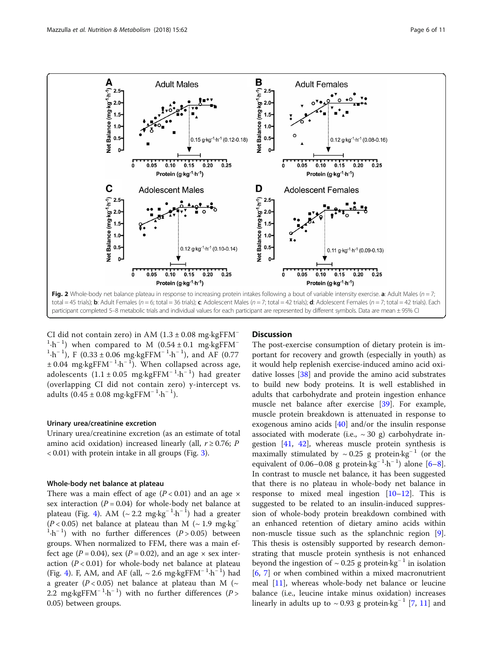<span id="page-5-0"></span>

CI did not contain zero) in AM ( $1.3 \pm 0.08$  mg·kgFFM<sup>-</sup>  $1 \cdot h^{-1}$ ) when compared to M (0.54 ± 0.1 mg·kgFFM<sup>-</sup> <sup>1</sup>·h<sup>-1</sup>), F (0.33 ± 0.06 mg·kgFFM<sup>-1</sup>·h<sup>-1</sup>), and AF (0.77 ± 0.04 mg·kgFFM<sup>-1</sup>·h<sup>-1</sup>). When collapsed across age, adolescents  $(1.1 \pm 0.05 \text{ mg} \cdot \text{kgFFM}^{-1} \cdot \text{h}^{-1})$  had greater (overlapping CI did not contain zero) y-intercept vs. adults  $(0.45 \pm 0.08 \text{ mg} \cdot \text{kgFFM}^{-1} \cdot \text{h}^{-1})$ .

# Urinary urea/creatinine excretion

Urinary urea/creatinine excretion (as an estimate of total amino acid oxidation) increased linearly (all,  $r \geq 0.76$ ; P < 0.01) with protein intake in all groups (Fig. [3\)](#page-6-0).

# Whole-body net balance at plateau

There was a main effect of age  $(P < 0.01)$  and an age  $\times$ sex interaction ( $P = 0.04$ ) for whole-body net balance at plateau (Fig. [4\)](#page-7-0). AM (~ 2.2 mg⋅kg<sup>− 1</sup>⋅h<sup>− i</sup>) had a greater (P < 0.05) net balance at plateau than M (~ 1.9 mg·kg<sup>-</sup> <sup>1</sup>·h<sup>-1</sup>) with no further differences ( $P > 0.05$ ) between groups. When normalized to FFM, there was a main effect age ( $P = 0.04$ ), sex ( $P = 0.02$ ), and an age  $\times$  sex interaction ( $P < 0.01$ ) for whole-body net balance at plateau (Fig. [4\)](#page-7-0). F, AM, and AF (all,  $\sim 2.6$  mg·kgFFM<sup>-1</sup>·h<sup>-1</sup>) had a greater ( $P < 0.05$ ) net balance at plateau than M ( $\sim$ 2.2 mg·kgFFM<sup>-1</sup>·h<sup>-1</sup>) with no further differences (P> 0.05) between groups.

# **Discussion**

The post-exercise consumption of dietary protein is important for recovery and growth (especially in youth) as it would help replenish exercise-induced amino acid oxidative losses [[38\]](#page-9-0) and provide the amino acid substrates to build new body proteins. It is well established in adults that carbohydrate and protein ingestion enhance muscle net balance after exercise [\[39](#page-9-0)]. For example, muscle protein breakdown is attenuated in response to exogenous amino acids [[40](#page-9-0)] and/or the insulin response associated with moderate (i.e.,  $\sim$  30 g) carbohydrate ingestion [[41,](#page-9-0) [42](#page-9-0)], whereas muscle protein synthesis is maximally stimulated by ~ 0.25 g protein⋅kg<sup>-1</sup> (or the equivalent of 0.06–0.08 g protein·kg<sup>-1</sup>·h<sup>-1</sup>) alone [\[6](#page-9-0)–[8](#page-9-0)]. In contrast to muscle net balance, it has been suggested that there is no plateau in whole-body net balance in response to mixed meal ingestion  $[10-12]$  $[10-12]$  $[10-12]$ . This is suggested to be related to an insulin-induced suppression of whole-body protein breakdown combined with an enhanced retention of dietary amino acids within non-muscle tissue such as the splanchnic region [\[9](#page-9-0)]. This thesis is ostensibly supported by research demonstrating that muscle protein synthesis is not enhanced beyond the ingestion of  $\sim$  0.25 g protein⋅kg<sup>-1</sup> in isolation [[6,](#page-9-0) [7\]](#page-9-0) or when combined within a mixed macronutrient meal [\[11](#page-9-0)], whereas whole-body net balance or leucine balance (i.e., leucine intake minus oxidation) increases linearly in adults up to ~ 0.93 g protein⋅kg<sup>-1</sup> [[7,](#page-9-0) [11\]](#page-9-0) and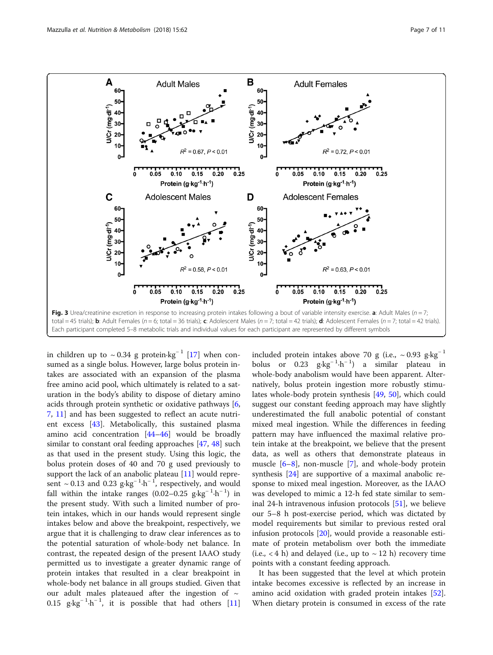<span id="page-6-0"></span>

in children up to ~0.34 g protein⋅kg<sup>-1</sup> [[17\]](#page-9-0) when consumed as a single bolus. However, large bolus protein intakes are associated with an expansion of the plasma free amino acid pool, which ultimately is related to a saturation in the body's ability to dispose of dietary amino acids through protein synthetic or oxidative pathways [\[6](#page-9-0), [7,](#page-9-0) [11](#page-9-0)] and has been suggested to reflect an acute nutrient excess [\[43](#page-9-0)]. Metabolically, this sustained plasma amino acid concentration [[44](#page-9-0)–[46](#page-10-0)] would be broadly similar to constant oral feeding approaches [[47](#page-10-0), [48](#page-10-0)] such as that used in the present study. Using this logic, the bolus protein doses of 40 and 70 g used previously to support the lack of an anabolic plateau [[11\]](#page-9-0) would represent ~ 0.13 and 0.23  $g \cdot kg^{-1} \cdot h^{-1}$ , respectively, and would fall within the intake ranges  $(0.02-0.25 \text{ g} \cdot \text{kg}^{-1} \cdot \text{h}^{-1})$  in the present study. With such a limited number of protein intakes, which in our hands would represent single intakes below and above the breakpoint, respectively, we argue that it is challenging to draw clear inferences as to the potential saturation of whole-body net balance. In contrast, the repeated design of the present IAAO study permitted us to investigate a greater dynamic range of protein intakes that resulted in a clear breakpoint in whole-body net balance in all groups studied. Given that our adult males plateaued after the ingestion of  $\sim$ 0.15  $g \cdot kg^{-1} \cdot h^{-1}$ , it is possible that had others [[11](#page-9-0)]

included protein intakes above 70 g (i.e., ~ 0.93 g·kg<sup>-1</sup> bolus or  $0.23$  g⋅kg<sup>-1</sup>⋅h<sup>-1</sup>) a similar plateau in whole-body anabolism would have been apparent. Alternatively, bolus protein ingestion more robustly stimulates whole-body protein synthesis [[49,](#page-10-0) [50](#page-10-0)], which could suggest our constant feeding approach may have slightly underestimated the full anabolic potential of constant mixed meal ingestion. While the differences in feeding pattern may have influenced the maximal relative protein intake at the breakpoint, we believe that the present data, as well as others that demonstrate plateaus in muscle  $[6-8]$  $[6-8]$  $[6-8]$ , non-muscle  $[7]$  $[7]$  $[7]$ , and whole-body protein synthesis [[24](#page-9-0)] are supportive of a maximal anabolic response to mixed meal ingestion. Moreover, as the IAAO was developed to mimic a 12-h fed state similar to seminal 24-h intravenous infusion protocols [\[51](#page-10-0)], we believe our 5–8 h post-exercise period, which was dictated by model requirements but similar to previous rested oral infusion protocols [[20\]](#page-9-0), would provide a reasonable estimate of protein metabolism over both the immediate (i.e.,  $\langle 4 \rangle$  h) and delayed (i.e., up to  $\sim 12$  h) recovery time points with a constant feeding approach.

It has been suggested that the level at which protein intake becomes excessive is reflected by an increase in amino acid oxidation with graded protein intakes [\[52](#page-10-0)]. When dietary protein is consumed in excess of the rate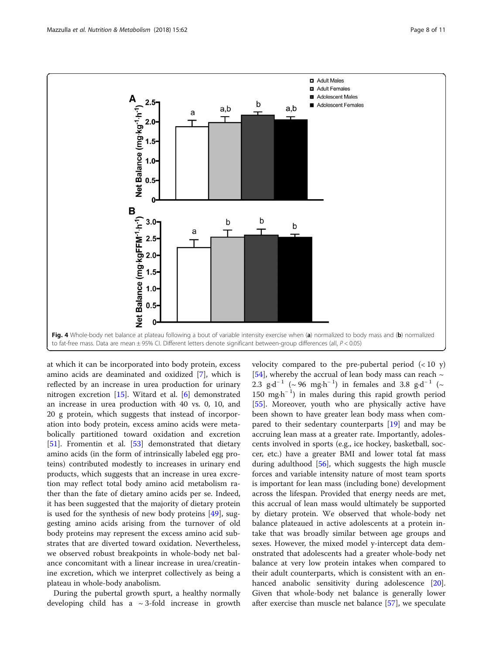<span id="page-7-0"></span>

at which it can be incorporated into body protein, excess amino acids are deaminated and oxidized [[7\]](#page-9-0), which is reflected by an increase in urea production for urinary nitrogen excretion [[15\]](#page-9-0). Witard et al. [[6\]](#page-9-0) demonstrated an increase in urea production with 40 vs. 0, 10, and 20 g protein, which suggests that instead of incorporation into body protein, excess amino acids were metabolically partitioned toward oxidation and excretion [[51\]](#page-10-0). Fromentin et al. [[53](#page-10-0)] demonstrated that dietary amino acids (in the form of intrinsically labeled egg proteins) contributed modestly to increases in urinary end products, which suggests that an increase in urea excretion may reflect total body amino acid metabolism rather than the fate of dietary amino acids per se. Indeed, it has been suggested that the majority of dietary protein is used for the synthesis of new body proteins  $[49]$  $[49]$  $[49]$ , suggesting amino acids arising from the turnover of old body proteins may represent the excess amino acid substrates that are diverted toward oxidation. Nevertheless, we observed robust breakpoints in whole-body net balance concomitant with a linear increase in urea/creatinine excretion, which we interpret collectively as being a plateau in whole-body anabolism.

During the pubertal growth spurt, a healthy normally developing child has a  $\sim$  3-fold increase in growth velocity compared to the pre-pubertal period  $(< 10 y)$ [[54\]](#page-10-0), whereby the accrual of lean body mass can reach  $\sim$ 2.3 g⋅d<sup>-1</sup> (~96 mg⋅h<sup>-1</sup>) in females and 3.8 g⋅d<sup>-1</sup> (~ 150 mg·h<sup>−</sup> <sup>1</sup> ) in males during this rapid growth period [[55\]](#page-10-0). Moreover, youth who are physically active have been shown to have greater lean body mass when compared to their sedentary counterparts [[19\]](#page-9-0) and may be accruing lean mass at a greater rate. Importantly, adolescents involved in sports (e.g., ice hockey, basketball, soccer, etc.) have a greater BMI and lower total fat mass during adulthood [[56](#page-10-0)], which suggests the high muscle forces and variable intensity nature of most team sports is important for lean mass (including bone) development across the lifespan. Provided that energy needs are met, this accrual of lean mass would ultimately be supported by dietary protein. We observed that whole-body net balance plateaued in active adolescents at a protein intake that was broadly similar between age groups and sexes. However, the mixed model y-intercept data demonstrated that adolescents had a greater whole-body net balance at very low protein intakes when compared to their adult counterparts, which is consistent with an en-hanced anabolic sensitivity during adolescence [\[20](#page-9-0)]. Given that whole-body net balance is generally lower after exercise than muscle net balance [\[57\]](#page-10-0), we speculate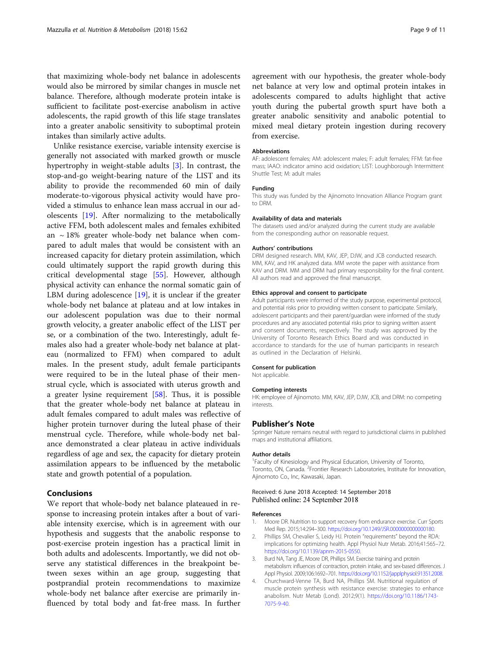<span id="page-8-0"></span>that maximizing whole-body net balance in adolescents would also be mirrored by similar changes in muscle net balance. Therefore, although moderate protein intake is sufficient to facilitate post-exercise anabolism in active adolescents, the rapid growth of this life stage translates into a greater anabolic sensitivity to suboptimal protein intakes than similarly active adults.

Unlike resistance exercise, variable intensity exercise is generally not associated with marked growth or muscle hypertrophy in weight-stable adults [3]. In contrast, the stop-and-go weight-bearing nature of the LIST and its ability to provide the recommended 60 min of daily moderate-to-vigorous physical activity would have provided a stimulus to enhance lean mass accrual in our adolescents [[19](#page-9-0)]. After normalizing to the metabolically active FFM, both adolescent males and females exhibited an  $\sim$  18% greater whole-body net balance when compared to adult males that would be consistent with an increased capacity for dietary protein assimilation, which could ultimately support the rapid growth during this critical developmental stage [[55\]](#page-10-0). However, although physical activity can enhance the normal somatic gain of LBM during adolescence [[19\]](#page-9-0), it is unclear if the greater whole-body net balance at plateau and at low intakes in our adolescent population was due to their normal growth velocity, a greater anabolic effect of the LIST per se, or a combination of the two. Interestingly, adult females also had a greater whole-body net balance at plateau (normalized to FFM) when compared to adult males. In the present study, adult female participants were required to be in the luteal phase of their menstrual cycle, which is associated with uterus growth and a greater lysine requirement [[58\]](#page-10-0). Thus, it is possible that the greater whole-body net balance at plateau in adult females compared to adult males was reflective of higher protein turnover during the luteal phase of their menstrual cycle. Therefore, while whole-body net balance demonstrated a clear plateau in active individuals regardless of age and sex, the capacity for dietary protein assimilation appears to be influenced by the metabolic state and growth potential of a population.

# Conclusions

We report that whole-body net balance plateaued in response to increasing protein intakes after a bout of variable intensity exercise, which is in agreement with our hypothesis and suggests that the anabolic response to post-exercise protein ingestion has a practical limit in both adults and adolescents. Importantly, we did not observe any statistical differences in the breakpoint between sexes within an age group, suggesting that postprandial protein recommendations to maximize whole-body net balance after exercise are primarily influenced by total body and fat-free mass. In further

agreement with our hypothesis, the greater whole-body net balance at very low and optimal protein intakes in adolescents compared to adults highlight that active youth during the pubertal growth spurt have both a greater anabolic sensitivity and anabolic potential to mixed meal dietary protein ingestion during recovery from exercise.

#### Abbreviations

AF: adolescent females; AM: adolescent males; F: adult females; FFM: fat-free mass; IAAO: indicator amino acid oxidation; LIST: Loughborough Intermittent Shuttle Test; M: adult males

#### Funding

This study was funded by the Ajinomoto Innovation Alliance Program grant to DRM.

#### Availability of data and materials

The datasets used and/or analyzed during the current study are available from the corresponding author on reasonable request.

#### Authors' contributions

DRM designed research. MM, KAV, JEP, DJW, and JCB conducted research. MM, KAV, and HK analyzed data. MM wrote the paper with assistance from KAV and DRM. MM and DRM had primary responsibility for the final content. All authors read and approved the final manuscript.

#### Ethics approval and consent to participate

Adult participants were informed of the study purpose, experimental protocol, and potential risks prior to providing written consent to participate. Similarly, adolescent participants and their parent/guardian were informed of the study procedures and any associated potential risks prior to signing written assent and consent documents, respectively. The study was approved by the University of Toronto Research Ethics Board and was conducted in accordance to standards for the use of human participants in research as outlined in the Declaration of Helsinki.

#### Consent for publication

Not applicable.

#### Competing interests

HK: employee of Ajinomoto. MM, KAV, JEP, DJW, JCB, and DRM: no competing interests.

#### Publisher's Note

Springer Nature remains neutral with regard to jurisdictional claims in published maps and institutional affiliations.

#### Author details

<sup>1</sup> Faculty of Kinesiology and Physical Education, University of Toronto, Toronto, ON, Canada. <sup>2</sup> Frontier Research Laboratories, Institute for Innovation Ajinomoto Co., Inc, Kawasaki, Japan.

### Received: 6 June 2018 Accepted: 14 September 2018 Published online: 24 September 2018

#### References

- 1. Moore DR. Nutrition to support recovery from endurance exercise. Curr Sports Med Rep. 2015;14:294–300. [https://doi.org/10.1249/JSR.0000000000000180.](https://doi.org/10.1249/JSR.0000000000000180)
- Phillips SM, Chevalier S, Leidy HJ. Protein "requirements" beyond the RDA: implications for optimizing health. Appl Physiol Nutr Metab. 2016;41:565–72. <https://doi.org/10.1139/apnm-2015-0550>.
- 3. Burd NA, Tang JE, Moore DR, Phillips SM. Exercise training and protein metabolism: influences of contraction, protein intake, and sex-based differences. J Appl Physiol. 2009;106:1692–701. <https://doi.org/10.1152/japplphysiol.91351.2008>.
- 4. Churchward-Venne TA, Burd NA, Phillips SM. Nutritional regulation of muscle protein synthesis with resistance exercise: strategies to enhance anabolism. Nutr Metab (Lond). 2012;9(1). [https://doi.org/10.1186/1743-](https://doi.org/10.1186/1743-7075-9-40) [7075-9-40.](https://doi.org/10.1186/1743-7075-9-40)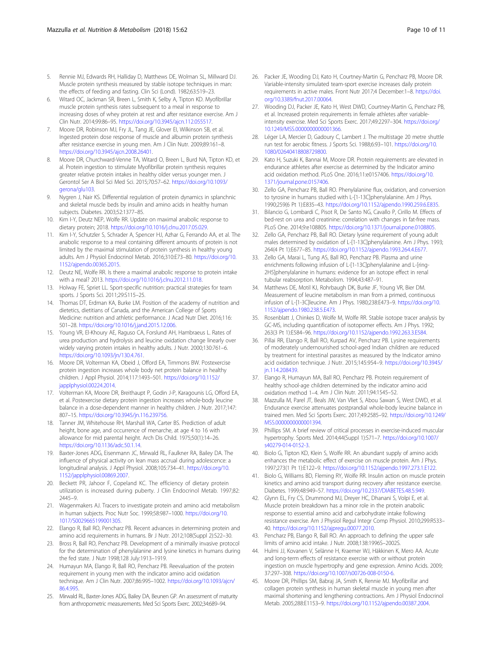- <span id="page-9-0"></span>5. Rennie MJ, Edwards RH, Halliday D, Matthews DE, Wolman SL, Millward DJ. Muscle protein synthesis measured by stable isotope techniques in man: the effects of feeding and fasting. Clin Sci (Lond). 1982;63:519–23.
- 6. Witard OC, Jackman SR, Breen L, Smith K, Selby A, Tipton KD. Myofibrillar muscle protein synthesis rates subsequent to a meal in response to increasing doses of whey protein at rest and after resistance exercise. Am J Clin Nutr. 2014;99:86–95. [https://doi.org/10.3945/ajcn.112.055517.](https://doi.org/10.3945/ajcn.112.055517)
- Moore DR, Robinson MJ, Fry JL, Tang JE, Glover EI, Wilkinson SB, et al. Ingested protein dose response of muscle and albumin protein synthesis after resistance exercise in young men. Am J Clin Nutr. 2009;89:161–8. [https://doi.org/10.3945/ajcn.2008.26401.](https://doi.org/10.3945/ajcn.2008.26401)
- 8. Moore DR, Churchward-Venne TA, Witard O, Breen L, Burd NA, Tipton KD, et al. Protein ingestion to stimulate Myofibrillar protein synthesis requires greater relative protein intakes in healthy older versus younger men. J Gerontol Ser A Biol Sci Med Sci. 2015;70:57–62. [https://doi.org/10.1093/](https://doi.org/10.1093/gerona/glu103) [gerona/glu103.](https://doi.org/10.1093/gerona/glu103)
- 9. Nygren J, Nair KS. Differential regulation of protein dynamics in splanchnic and skeletal muscle beds by insulin and amino acids in healthy human subjects. Diabetes. 2003;52:1377–85.
- 10. Kim I-Y, Deutz NEP, Wolfe RR. Update on maximal anabolic response to dietary protein; 2018. <https://doi.org/10.1016/j.clnu.2017.05.029>.
- 11. Kim I-Y, Schutzler S, Schrader A, Spencer HJ, Azhar G, Ferrando AA, et al. The anabolic response to a meal containing different amounts of protein is not limited by the maximal stimulation of protein synthesis in healthy young adults. Am J Physiol Endocrinol Metab. 2016;310:E73–80. [https://doi.org/10.](https://doi.org/10.1152/ajpendo.00365.2015) [1152/ajpendo.00365.2015](https://doi.org/10.1152/ajpendo.00365.2015).
- 12. Deutz NE, Wolfe RR. Is there a maximal anabolic response to protein intake with a meal? 2013. [https://doi.org/10.1016/j.clnu.2012.11.018.](https://doi.org/10.1016/j.clnu.2012.11.018)
- 13. Holway FE, Spriet LL. Sport-specific nutrition: practical strategies for team sports. J Sports Sci. 2011;29:S115–25.
- 14. Thomas DT, Erdman KA, Burke LM. Position of the academy of nutrition and dietetics, dietitians of Canada, and the American College of Sports Medicine: nutrition and athletic performance. J Acad Nutr Diet. 2016;116: 501–28. <https://doi.org/10.1016/j.jand.2015.12.006>.
- 15. Young VR, El-Khoury AE, Raguso CA, Forslund AH, Hambraeus L. Rates of urea production and hydrolysis and leucine oxidation change linearly over widely varying protein intakes in healthy adults. J Nutr. 2000;130:761–6. [https://doi.org/10.1093/jn/130.4.761.](https://doi.org/10.1093/jn/130.4.761)
- 16. Moore DR, Volterman KA, Obeid J, Offord EA, Timmons BW. Postexercise protein ingestion increases whole body net protein balance in healthy children. J Appl Physiol. 2014;117:1493–501. [https://doi.org/10.1152/](https://doi.org/10.1152/japplphysiol.00224.2014) [japplphysiol.00224.2014.](https://doi.org/10.1152/japplphysiol.00224.2014)
- 17. Volterman KA, Moore DR, Breithaupt P, Godin J-P, Karagounis LG, Offord EA, et al. Postexercise dietary protein ingestion increases whole-body leucine balance in a dose-dependent manner in healthy children. J Nutr. 2017;147: 807–15. <https://doi.org/10.3945/jn.116.239756>.
- 18. Tanner JM, Whitehouse RH, Marshall WA, Carter BS. Prediction of adult height, bone age, and occurrence of menarche, at age 4 to 16 with allowance for mid parental height. Arch Dis Child. 1975;50(1):14–26. [https://doi.org/10.1136/adc.50.1.14.](https://doi.org/10.1136/adc.50.1.14)
- 19. Baxter-Jones ADG, Eisenmann JC, Mirwald RL, Faulkner RA, Bailey DA. The influence of physical activity on lean mass accrual during adolescence: a longitudinal analysis. J Appl Physiol. 2008;105:734–41. [https://doi.org/10.](https://doi.org/10.1152/japplphysiol.00869.2007) [1152/japplphysiol.00869.2007.](https://doi.org/10.1152/japplphysiol.00869.2007)
- 20. Beckett PR, Jahoor F, Copeland KC. The efficiency of dietary protein utilization is increased during puberty. J Clin Endocrinol Metab. 1997;82: 2445–9.
- 21. Wagenmakers AJ. Tracers to investigate protein and amino acid metabolism in human subjects. Proc Nutr Soc. 1999;58:987–1000. [https://doi.org/10.](https://doi.org/10.1017/S0029665199001305) [1017/S0029665199001305.](https://doi.org/10.1017/S0029665199001305)
- 22. Elango R, Ball RO, Pencharz PB. Recent advances in determining protein and amino acid requirements in humans. Br J Nutr. 2012;108(Suppl 2):S22–30.
- 23. Bross R, Ball RO, Pencharz PB. Development of a minimally invasive protocol for the determination of phenylalanine and lysine kinetics in humans during the fed state. J Nutr 1998;128 July:1913–1919.
- 24. Humayun MA, Elango R, Ball RO, Pencharz PB. Reevaluation of the protein requirement in young men with the indicator amino acid oxidation technique. Am J Clin Nutr. 2007;86:995–1002. [https://doi.org/10.1093/ajcn/](https://doi.org/10.1093/ajcn/86.4.995) [86.4.995.](https://doi.org/10.1093/ajcn/86.4.995)
- 25. Mirwald RL, Baxter-Jones ADG, Bailey DA, Beunen GP. An assessment of maturity from anthropometric measurements. Med Sci Sports Exerc. 2002;34:689–94.
- 26. Packer JE, Wooding DJ, Kato H, Courtney-Martin G, Pencharz PB, Moore DR. Variable-intensity simulated team-sport exercise increases daily protein requirements in active males. Front Nutr 2017;4 December:1–8. [https://doi.](https://doi.org/10.3389/fnut.2017.00064) [org/10.3389/fnut.2017.00064.](https://doi.org/10.3389/fnut.2017.00064)
- 27. Wooding DJ, Packer JE, Kato H, West DWD, Courtney-Martin G, Pencharz PB, et al. Increased protein requirements in female athletes after variableintensity exercise. Med Sci Sports Exerc. 2017;49:2297–304. [https://doi.org/](https://doi.org/10.1249/MSS.0000000000001366) [10.1249/MSS.0000000000001366.](https://doi.org/10.1249/MSS.0000000000001366)
- 28. Léger LA, Mercier D, Gadoury C, Lambert J. The multistage 20 metre shuttle run test for aerobic fitness. J Sports Sci. 1988;6:93–101. [https://doi.org/10.](https://doi.org/10.1080/02640418808729800) [1080/02640418808729800.](https://doi.org/10.1080/02640418808729800)
- 29. Kato H, Suzuki K, Bannai M, Moore DR. Protein requirements are elevated in endurance athletes after exercise as determined by the Indicator amino acid oxidation method. PLoS One. 2016;11:e0157406. [https://doi.org/10.](https://doi.org/10.1371/journal.pone.0157406) [1371/journal.pone.0157406](https://doi.org/10.1371/journal.pone.0157406).
- 30. Zello GA, Pencharz PB, Ball RO. Phenylalanine flux, oxidation, and conversion to tyrosine in humans studied with L-[1-13C]phenylalanine. Am J Phys. 1990;259(6 Pt 1):E835–43. [https://doi.org/10.1152/ajpendo.1990.259.6.E835.](https://doi.org/10.1152/ajpendo.1990.259.6.E835)
- 31. Bilancio G, Lombardi C, Pisot R, De Santo NG, Cavallo P, Cirillo M. Effects of bed-rest on urea and creatinine: correlation with changes in fat-free mass. PLoS One. 2014;9:e108805. <https://doi.org/10.1371/journal.pone.0108805>.
- 32. Zello GA, Pencharz PB, Ball RO. Dietary lysine requirement of young adult males determined by oxidation of L-[1-13C]phenylalanine. Am J Phys. 1993; 264(4 Pt 1):E677–85. [https://doi.org/10.1152/ajpendo.1993.264.4.E677.](https://doi.org/10.1152/ajpendo.1993.264.4.E677)
- 33. Zello GA, Marai L, Tung AS, Ball RO, Pencharz PB. Plasma and urine enrichments following infusion of L-[1-13C]phenylalanine and L-[ring-2H5]phenylalanine in humans: evidence for an isotope effect in renal tubular reabsorption. Metabolism. 1994;43:487–91.
- Matthews DE, Motil KJ, Rohrbaugh DK, Burke JF, Young VR, Bier DM. Measurement of leucine metabolism in man from a primed, continuous infusion of L-[1-3C]leucine. Am J Phys. 1980;238:E473–9. [https://doi.org/10.](https://doi.org/10.1152/ajpendo.1980.238.5.E473) [1152/ajpendo.1980.238.5.E473.](https://doi.org/10.1152/ajpendo.1980.238.5.E473)
- 35. Rosenblatt J, Chinkes D, Wolfe M, Wolfe RR. Stable isotope tracer analysis by GC-MS, including quantification of isotopomer effects. Am J Phys. 1992; 263(3 Pt 1):E584–96. [https://doi.org/10.1152/ajpendo.1992.263.3.E584.](https://doi.org/10.1152/ajpendo.1992.263.3.E584)
- 36. Pillai RR, Elango R, Ball RO, Kurpad AV, Pencharz PB. Lysine requirements of moderately undernourished school-aged Indian children are reduced by treatment for intestinal parasites as measured by the Indicator amino acid oxidation technique. J Nutr. 2015;145:954–9. [https://doi.org/10.3945/](https://doi.org/10.3945/jn.114.208439) in.114.208439.
- 37. Elango R, Humayun MA, Ball RO, Pencharz PB. Protein requirement of healthy school-age children determined by the indicator amino acid oxidation method 1–4. Am J Clin Nutr. 2011;94:1545–52.
- 38. Mazzulla M, Parel JT, Beals JW, Van Vliet S, Abou Sawan S, West DWD, et al. Endurance exercise attenuates postprandial whole-body leucine balance in trained men. Med Sci Sports Exerc. 2017;49:2585–92. [https://doi.org/10.1249/](https://doi.org/10.1249/MSS.0000000000001394) [MSS.0000000000001394.](https://doi.org/10.1249/MSS.0000000000001394)
- 39. Phillips SM. A brief review of critical processes in exercise-induced muscular hypertrophy. Sports Med. 2014;44(Suppl 1):S71–7. [https://doi.org/10.1007/](https://doi.org/10.1007/s40279-014-0152-3) [s40279-014-0152-3.](https://doi.org/10.1007/s40279-014-0152-3)
- 40. Biolo G, Tipton KD, Klein S, Wolfe RR. An abundant supply of amino acids enhances the metabolic effect of exercise on muscle protein. Am J Phys. 1997;273(1 Pt 1):E122–9. <https://doi.org/10.1152/ajpendo.1997.273.1.E122>.
- 41. Biolo G, Williams BD, Fleming RY, Wolfe RR. Insulin action on muscle protein kinetics and amino acid transport during recovery after resistance exercise. Diabetes. 1999;48:949–57. [https://doi.org/10.2337/DIABETES.48.5.949.](https://doi.org/10.2337/DIABETES.48.5.949)
- 42. Glynn EL, Fry CS, Drummond MJ, Dreyer HC, Dhanani S, Volpi E, et al. Muscle protein breakdown has a minor role in the protein anabolic response to essential amino acid and carbohydrate intake following resistance exercise. Am J Physiol Regul Integr Comp Physiol. 2010;299:R533– 40. [https://doi.org/10.1152/ajpregu.00077.2010.](https://doi.org/10.1152/ajpregu.00077.2010)
- 43. Pencharz PB, Elango R, Ball RO. An approach to defining the upper safe limits of amino acid intake. J Nutr. 2008;138:1996S–2002S.
- 44. Hulmi JJ, Kovanen V, Selänne H, Kraemer WJ, Häkkinen K, Mero AA. Acute and long-term effects of resistance exercise with or without protein ingestion on muscle hypertrophy and gene expression. Amino Acids. 2009; 37:297–308. <https://doi.org/10.1007/s00726-008-0150-6>.
- 45. Moore DR, Phillips SM, Babraj JA, Smith K, Rennie MJ. Myofibrillar and collagen protein synthesis in human skeletal muscle in young men after maximal shortening and lengthening contractions. Am J Physiol Endocrinol Metab. 2005;288:E1153–9. <https://doi.org/10.1152/ajpendo.00387.2004>.